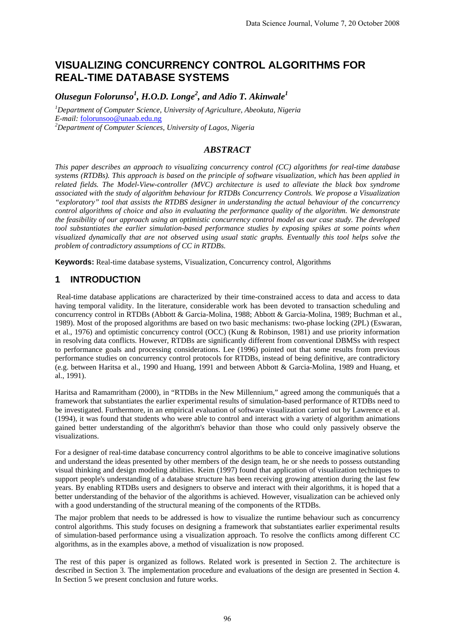# **VISUALIZING CONCURRENCY CONTROL ALGORITHMS FOR REAL-TIME DATABASE SYSTEMS**

*Olusegun Folorunso<sup>1</sup> , H.O.D. Longe<sup>2</sup> , and Adio T. Akinwale1* 

*1 Department of Computer Science, University of Agriculture, Abeokuta, Nigeria E-mail:* [folorunsoo@unaab.edu.ng](mailto:folorunsoo@unaab.edu.ng) *<sup>2</sup> Department of Computer Sciences, University of Lagos, Nigeria* 

### *ABSTRACT*

*This paper describes an approach to visualizing concurrency control (CC) algorithms for real-time database systems (RTDBs). This approach is based on the principle of software visualization, which has been applied in related fields. The Model-View-controller (MVC) architecture is used to alleviate the black box syndrome associated with the study of algorithm behaviour for RTDBs Concurrency Controls. We propose a Visualization "exploratory" tool that assists the RTDBS designer in understanding the actual behaviour of the concurrency control algorithms of choice and also in evaluating the performance quality of the algorithm. We demonstrate the feasibility of our approach using an optimistic concurrency control model as our case study. The developed tool substantiates the earlier simulation-based performance studies by exposing spikes at some points when visualized dynamically that are not observed using usual static graphs. Eventually this tool helps solve the problem of contradictory assumptions of CC in RTDBs.*

**Keywords:** Real-time database systems, Visualization, Concurrency control, Algorithms

## **1 INTRODUCTION**

 Real-time database applications are characterized by their time-constrained access to data and access to data having temporal validity. In the literature, considerable work has been devoted to transaction scheduling and concurrency control in RTDBs (Abbott & Garcia-Molina, 1988; Abbott & Garcia-Molina, 1989; Buchman et al., 1989). Most of the proposed algorithms are based on two basic mechanisms: two-phase locking (2PL) (Eswaran, et al., 1976) and optimistic concurrency control (OCC) (Kung & Robinson, 1981) and use priority information in resolving data conflicts. However, RTDBs are significantly different from conventional DBMSs with respect to performance goals and processing considerations. Lee (1996) pointed out that some results from previous performance studies on concurrency control protocols for RTDBs, instead of being definitive, are contradictory (e.g. between Haritsa et al., 1990 and Huang, 1991 and between Abbott & Garcia-Molina, 1989 and Huang, et al., 1991).

Haritsa and Ramamritham (2000), in "RTDBs in the New Millennium," agreed among the communiqués that a framework that substantiates the earlier experimental results of simulation-based performance of RTDBs need to be investigated. Furthermore, in an empirical evaluation of software visualization carried out by Lawrence et al. (1994), it was found that students who were able to control and interact with a variety of algorithm animations gained better understanding of the algorithm's behavior than those who could only passively observe the visualizations.

For a designer of real-time database concurrency control algorithms to be able to conceive imaginative solutions and understand the ideas presented by other members of the design team, he or she needs to possess outstanding visual thinking and design modeling abilities. Keim (1997) found that application of visualization techniques to support people's understanding of a database structure has been receiving growing attention during the last few years. By enabling RTDBs users and designers to observe and interact with their algorithms, it is hoped that a better understanding of the behavior of the algorithms is achieved. However, visualization can be achieved only with a good understanding of the structural meaning of the components of the RTDBs.

The major problem that needs to be addressed is how to visualize the runtime behaviour such as concurrency control algorithms. This study focuses on designing a framework that substantiates earlier experimental results of simulation-based performance using a visualization approach. To resolve the conflicts among different CC algorithms, as in the examples above, a method of visualization is now proposed.

The rest of this paper is organized as follows. Related work is presented in Section 2. The architecture is described in Section 3. The implementation procedure and evaluations of the design are presented in Section 4. In Section 5 we present conclusion and future works.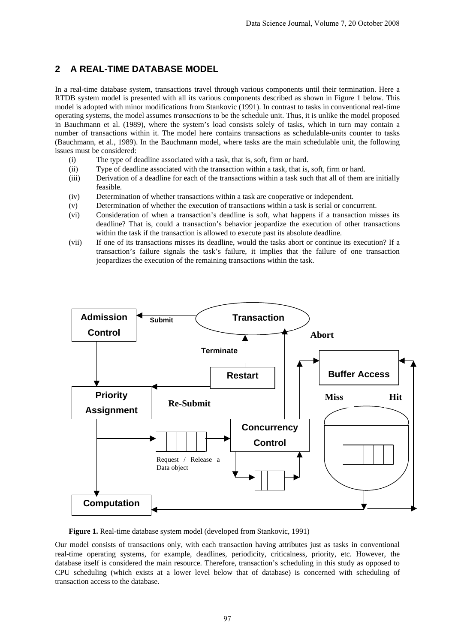## **2 A REAL-TIME DATABASE MODEL**

In a real-time database system, transactions travel through various components until their termination. Here a RTDB system model is presented with all its various components described as shown in Figure 1 below. This model is adopted with minor modifications from Stankovic (1991). In contrast to tasks in conventional real-time operating systems, the model assumes *transactions* to be the schedule unit. Thus, it is unlike the model proposed in Bauchmann et al. (1989), where the system's load consists solely of tasks, which in turn may contain a number of transactions within it. The model here contains transactions as schedulable-units counter to tasks (Bauchmann, et al., 1989). In the Bauchmann model, where tasks are the main schedulable unit, the following issues must be considered:

- (i) The type of deadline associated with a task, that is, soft, firm or hard.
- (ii) Type of deadline associated with the transaction within a task, that is, soft, firm or hard.
- (iii) Derivation of a deadline for each of the transactions within a task such that all of them are initially feasible.
- (iv) Determination of whether transactions within a task are cooperative or independent.
- (v) Determination of whether the execution of transactions within a task is serial or concurrent.
- (vi) Consideration of when a transaction's deadline is soft, what happens if a transaction misses its deadline? That is, could a transaction's behavior jeopardize the execution of other transactions within the task if the transaction is allowed to execute past its absolute deadline.
- (vii) If one of its transactions misses its deadline, would the tasks abort or continue its execution? If a transaction's failure signals the task's failure, it implies that the failure of one transaction jeopardizes the execution of the remaining transactions within the task.



**Figure 1.** Real-time database system model (developed from Stankovic, 1991)

Our model consists of transactions only, with each transaction having attributes just as tasks in conventional real-time operating systems, for example, deadlines, periodicity, criticalness, priority, etc. However, the database itself is considered the main resource. Therefore, transaction's scheduling in this study as opposed to CPU scheduling (which exists at a lower level below that of database) is concerned with scheduling of transaction access to the database.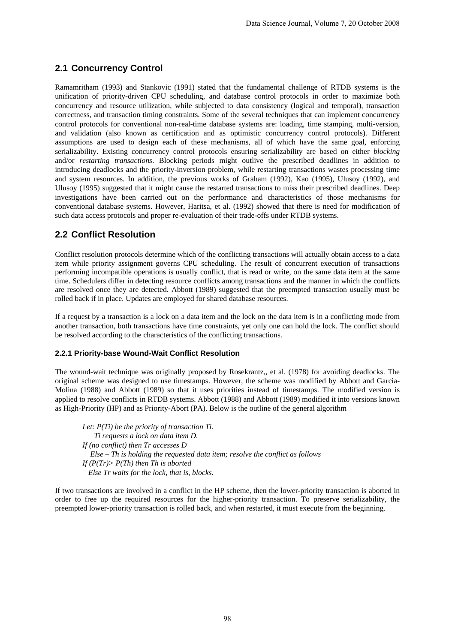## **2.1 Concurrency Control**

Ramamritham (1993) and Stankovic (1991) stated that the fundamental challenge of RTDB systems is the unification of priority-driven CPU scheduling, and database control protocols in order to maximize both concurrency and resource utilization, while subjected to data consistency (logical and temporal), transaction correctness, and transaction timing constraints. Some of the several techniques that can implement concurrency control protocols for conventional non-real-time database systems are: loading, time stamping, multi-version, and validation (also known as certification and as optimistic concurrency control protocols). Different assumptions are used to design each of these mechanisms, all of which have the same goal, enforcing serializability. Existing concurrency control protocols ensuring serializability are based on either *blocking* and/or *restarting transactions*. Blocking periods might outlive the prescribed deadlines in addition to introducing deadlocks and the priority-inversion problem, while restarting transactions wastes processing time and system resources. In addition, the previous works of Graham (1992), Kao (1995), Ulusoy (1992), and Ulusoy (1995) suggested that it might cause the restarted transactions to miss their prescribed deadlines. Deep investigations have been carried out on the performance and characteristics of those mechanisms for conventional database systems. However, Haritsa, et al. (1992) showed that there is need for modification of such data access protocols and proper re-evaluation of their trade-offs under RTDB systems.

## **2.2 Conflict Resolution**

Conflict resolution protocols determine which of the conflicting transactions will actually obtain access to a data item while priority assignment governs CPU scheduling. The result of concurrent execution of transactions performing incompatible operations is usually conflict, that is read or write, on the same data item at the same time. Schedulers differ in detecting resource conflicts among transactions and the manner in which the conflicts are resolved once they are detected. Abbott (1989) suggested that the preempted transaction usually must be rolled back if in place. Updates are employed for shared database resources.

If a request by a transaction is a lock on a data item and the lock on the data item is in a conflicting mode from another transaction, both transactions have time constraints, yet only one can hold the lock. The conflict should be resolved according to the characteristics of the conflicting transactions.

#### **2.2.1 Priority-base Wound-Wait Conflict Resolution**

The wound-wait technique was originally proposed by Rosekrantz,, et al. (1978) for avoiding deadlocks. The original scheme was designed to use timestamps. However, the scheme was modified by Abbott and Garcia-Molina (1988) and Abbott (1989) so that it uses priorities instead of timestamps. The modified version is applied to resolve conflicts in RTDB systems. Abbott (1988) and Abbott (1989) modified it into versions known as High-Priority (HP) and as Priority-Abort (PA). Below is the outline of the general algorithm

*Let: P(Ti) be the priority of transaction Ti. Ti requests a lock on data item D. If (no conflict) then Tr accesses D Else – Th is holding the requested data item; resolve the conflict as follows If (P(Tr)> P(Th) then Th is aborted Else Tr waits for the lock, that is, blocks.* 

If two transactions are involved in a conflict in the HP scheme, then the lower-priority transaction is aborted in order to free up the required resources for the higher-priority transaction. To preserve serializability, the preempted lower-priority transaction is rolled back, and when restarted, it must execute from the beginning.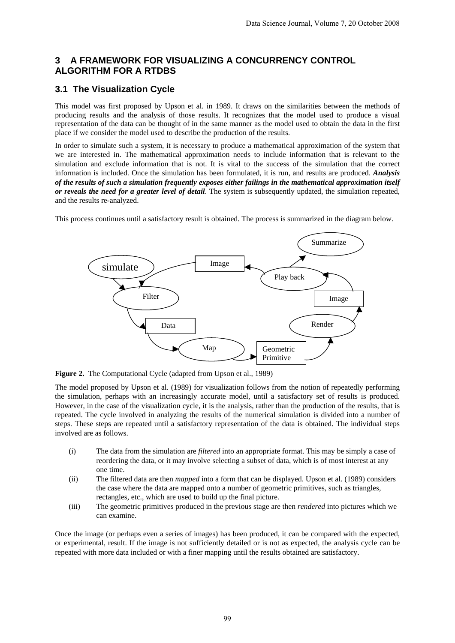## **3 A FRAMEWORK FOR VISUALIZING A CONCURRENCY CONTROL ALGORITHM FOR A RTDBS**

## **3.1 The Visualization Cycle**

This model was first proposed by Upson et al. in 1989. It draws on the similarities between the methods of producing results and the analysis of those results. It recognizes that the model used to produce a visual representation of the data can be thought of in the same manner as the model used to obtain the data in the first place if we consider the model used to describe the production of the results.

In order to simulate such a system, it is necessary to produce a mathematical approximation of the system that we are interested in. The mathematical approximation needs to include information that is relevant to the simulation and exclude information that is not. It is vital to the success of the simulation that the correct information is included. Once the simulation has been formulated, it is run, and results are produced. *Analysis of the results of such a simulation frequently exposes either failings in the mathematical approximation itself or reveals the need for a greater level of detail*. The system is subsequently updated, the simulation repeated, and the results re-analyzed.

This process continues until a satisfactory result is obtained. The process is summarized in the diagram below.



**Figure 2.** The Computational Cycle (adapted from Upson et al., 1989)

The model proposed by Upson et al. (1989) for visualization follows from the notion of repeatedly performing the simulation, perhaps with an increasingly accurate model, until a satisfactory set of results is produced. However, in the case of the visualization cycle, it is the analysis, rather than the production of the results, that is repeated. The cycle involved in analyzing the results of the numerical simulation is divided into a number of steps. These steps are repeated until a satisfactory representation of the data is obtained. The individual steps involved are as follows.

- (i) The data from the simulation are *filtered* into an appropriate format. This may be simply a case of reordering the data, or it may involve selecting a subset of data, which is of most interest at any one time.
- (ii) The filtered data are then *mapped* into a form that can be displayed. Upson et al. (1989) considers the case where the data are mapped onto a number of geometric primitives, such as triangles, rectangles, etc., which are used to build up the final picture.
- (iii) The geometric primitives produced in the previous stage are then *rendered* into pictures which we can examine.

Once the image (or perhaps even a series of images) has been produced, it can be compared with the expected, or experimental, result. If the image is not sufficiently detailed or is not as expected, the analysis cycle can be repeated with more data included or with a finer mapping until the results obtained are satisfactory.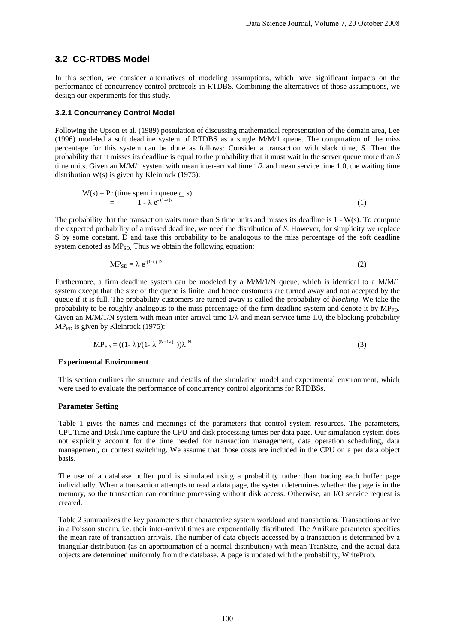### **3.2 CC-RTDBS Model**

In this section, we consider alternatives of modeling assumptions, which have significant impacts on the performance of concurrency control protocols in RTDBS. Combining the alternatives of those assumptions, we design our experiments for this study.

#### **3.2.1 Concurrency Control Model**

Following the Upson et al. (1989) postulation of discussing mathematical representation of the domain area, Lee (1996) modeled a soft deadline system of RTDBS as a single M/M/1 queue. The computation of the miss percentage for this system can be done as follows: Consider a transaction with slack time, *S*. Then the probability that it misses its deadline is equal to the probability that it must wait in the server queue more than *S*  time units. Given an M/M/1 system with mean inter-arrival time  $1/\lambda$  and mean service time 1.0, the waiting time distribution W(s) is given by Kleinrock (1975):

$$
W(s) = Pr (time spent in queue \subseteq s)
$$
  
= 1 -  $\lambda e^{-(1-\lambda)s}$  (1)

The probability that the transaction waits more than S time units and misses its deadline is 1 - W(s). To compute the expected probability of a missed deadline, we need the distribution of *S*. However, for simplicity we replace S by some constant, D and take this probability to be analogous to the miss percentage of the soft deadline system denoted as  $MP<sub>SD</sub>$ . Thus we obtain the following equation:

$$
MP_{SD} = \lambda e^{(1-\lambda)D}
$$
 (2)

Furthermore, a firm deadline system can be modeled by a M/M/1/N queue, which is identical to a M/M/1 system except that the size of the queue is finite, and hence customers are turned away and not accepted by the queue if it is full. The probability customers are turned away is called the probability of *blocking*. We take the probability to be roughly analogous to the miss percentage of the firm deadline system and denote it by  $MP_{FD}$ . Given an M/M/1/N system with mean inter-arrival time  $1/\lambda$  and mean service time 1.0, the blocking probability  $MP<sub>FD</sub>$  is given by Kleinrock (1975):

$$
MP_{FD} = ((1 - \lambda)/(1 - \lambda^{(N+1\lambda)}))\lambda^N
$$
\n(3)

#### **Experimental Environment**

This section outlines the structure and details of the simulation model and experimental environment, which were used to evaluate the performance of concurrency control algorithms for RTDBSs.

#### **Parameter Setting**

Table 1 gives the names and meanings of the parameters that control system resources. The parameters, CPUTime and DiskTime capture the CPU and disk processing times per data page. Our simulation system does not explicitly account for the time needed for transaction management, data operation scheduling, data management, or context switching. We assume that those costs are included in the CPU on a per data object basis.

The use of a database buffer pool is simulated using a probability rather than tracing each buffer page individually. When a transaction attempts to read a data page, the system determines whether the page is in the memory, so the transaction can continue processing without disk access. Otherwise, an I/O service request is created.

Table 2 summarizes the key parameters that characterize system workload and transactions. Transactions arrive in a Poisson stream, i.e. their inter-arrival times are exponentially distributed. The ArriRate parameter specifies the mean rate of transaction arrivals. The number of data objects accessed by a transaction is determined by a triangular distribution (as an approximation of a normal distribution) with mean TranSize, and the actual data objects are determined uniformly from the database. A page is updated with the probability, WriteProb.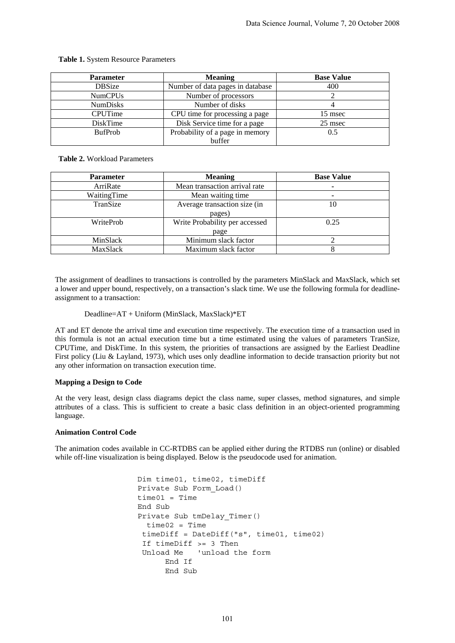| <b>Parameter</b> | <b>Meaning</b>                   | <b>Base Value</b> |
|------------------|----------------------------------|-------------------|
| <b>DBSize</b>    | Number of data pages in database | 400               |
| <b>NumCPUs</b>   | Number of processors             |                   |
| <b>NumDisks</b>  | Number of disks                  |                   |
| <b>CPUTime</b>   | CPU time for processing a page   | 15 msec           |
| <b>DiskTime</b>  | Disk Service time for a page     | 25 msec           |
| <b>BufProb</b>   | Probability of a page in memory  | 0.5               |
|                  | buffer                           |                   |

#### **Table 1.** System Resource Parameters

**Table 2.** Workload Parameters

| <b>Parameter</b> | <b>Meaning</b>                 | <b>Base Value</b> |
|------------------|--------------------------------|-------------------|
| ArriRate         | Mean transaction arrival rate  |                   |
| WaitingTime      | Mean waiting time              |                   |
| TranSize         | Average transaction size (in   | 10                |
|                  | pages)                         |                   |
| WriteProb        | Write Probability per accessed | 0.25              |
|                  | page                           |                   |
| MinSlack         | Minimum slack factor           |                   |
| MaxSlack         | Maximum slack factor           |                   |

The assignment of deadlines to transactions is controlled by the parameters MinSlack and MaxSlack, which set a lower and upper bound, respectively, on a transaction's slack time. We use the following formula for deadlineassignment to a transaction:

Deadline=AT + Uniform (MinSlack, MaxSlack)\*ET

AT and ET denote the arrival time and execution time respectively. The execution time of a transaction used in this formula is not an actual execution time but a time estimated using the values of parameters TranSize, CPUTime, and DiskTime. In this system, the priorities of transactions are assigned by the Earliest Deadline First policy (Liu & Layland, 1973), which uses only deadline information to decide transaction priority but not any other information on transaction execution time.

#### **Mapping a Design to Code**

At the very least, design class diagrams depict the class name, super classes, method signatures, and simple attributes of a class. This is sufficient to create a basic class definition in an object-oriented programming language.

#### **Animation Control Code**

The animation codes available in CC-RTDBS can be applied either during the RTDBS run (online) or disabled while off-line visualization is being displayed. Below is the pseudocode used for animation.

```
 Dim time01, time02, timeDiff 
Private Sub Form_Load() 
time01 = TimeEnd Sub 
Private Sub tmDelay_Timer() 
  time02 = Time 
  timeDiff = DateDiff("s", time01, time02) 
  If timeDiff >= 3 Then 
  Unload Me 'unload the form 
       End If 
      End Sub
```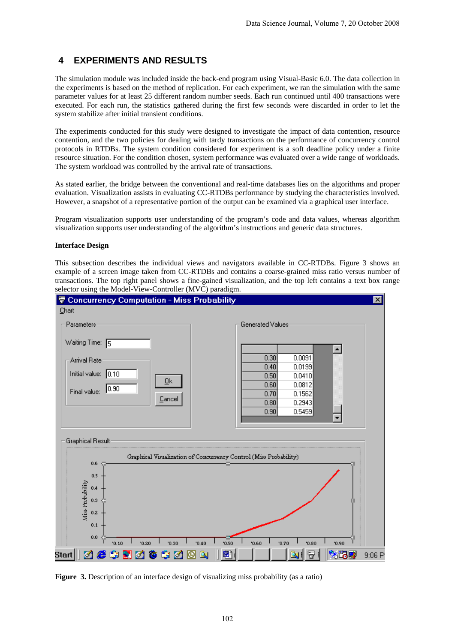## **4 EXPERIMENTS AND RESULTS**

The simulation module was included inside the back-end program using Visual-Basic 6.0. The data collection in the experiments is based on the method of replication. For each experiment, we ran the simulation with the same parameter values for at least 25 different random number seeds. Each run continued until 400 transactions were executed. For each run, the statistics gathered during the first few seconds were discarded in order to let the system stabilize after initial transient conditions.

The experiments conducted for this study were designed to investigate the impact of data contention, resource contention, and the two policies for dealing with tardy transactions on the performance of concurrency control protocols in RTDBs. The system condition considered for experiment is a soft deadline policy under a finite resource situation. For the condition chosen, system performance was evaluated over a wide range of workloads. The system workload was controlled by the arrival rate of transactions.

As stated earlier, the bridge between the conventional and real-time databases lies on the algorithms and proper evaluation. Visualization assists in evaluating CC-RTDBs performance by studying the characteristics involved. However, a snapshot of a representative portion of the output can be examined via a graphical user interface.

Program visualization supports user understanding of the program's code and data values, whereas algorithm visualization supports user understanding of the algorithm's instructions and generic data structures.

#### **Interface Design**

This subsection describes the individual views and navigators available in CC-RTDBs. Figure 3 shows an example of a screen image taken from CC-RTDBs and contains a coarse-grained miss ratio versus number of transactions. The top right panel shows a fine-gained visualization, and the top left contains a text box range selector using the Model-View-Controller (MVC) paradigm.



**Figure 3.** Description of an interface design of visualizing miss probability (as a ratio)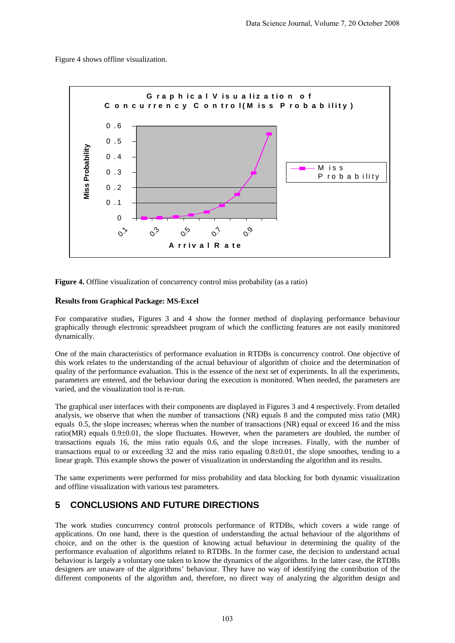Figure 4 shows offline visualization.



**Figure 4.** Offline visualization of concurrency control miss probability (as a ratio)

### **Results from Graphical Package: MS-Excel**

For comparative studies, Figures 3 and 4 show the former method of displaying performance behaviour graphically through electronic spreadsheet program of which the conflicting features are not easily monitored dynamically.

One of the main characteristics of performance evaluation in RTDBs is concurrency control. One objective of this work relates to the understanding of the actual behaviour of algorithm of choice and the determination of quality of the performance evaluation. This is the essence of the next set of experiments. In all the experiments, parameters are entered, and the behaviour during the execution is monitored. When needed, the parameters are varied, and the visualization tool is re-run.

The graphical user interfaces with their components are displayed in Figures 3 and 4 respectively. From detailed analysis, we observe that when the number of transactions (NR) equals 8 and the computed miss ratio (MR) equals 0.5, the slope increases; whereas when the number of transactions (NR) equal or exceed 16 and the miss ratio( $MR$ ) equals 0.9 $\pm$ 0.01, the slope fluctuates. However, when the parameters are doubled, the number of transactions equals 16, the miss ratio equals 0.6, and the slope increases. Finally, with the number of transactions equal to or exceeding 32 and the miss ratio equaling 0.8±0.01, the slope smoothes, tending to a linear graph. This example shows the power of visualization in understanding the algorithm and its results.

The same experiments were performed for miss probability and data blocking for both dynamic visualization and offline visualization with various test parameters*.* 

# **5 CONCLUSIONS AND FUTURE DIRECTIONS**

The work studies concurrency control protocols performance of RTDBs, which covers a wide range of applications. On one hand, there is the question of understanding the actual behaviour of the algorithms of choice, and on the other is the question of knowing actual behaviour in determining the quality of the performance evaluation of algorithms related to RTDBs. In the former case, the decision to understand actual behaviour is largely a voluntary one taken to know the dynamics of the algorithms. In the latter case, the RTDBs designers are unaware of the algorithms' behaviour. They have no way of identifying the contribution of the different components of the algorithm and, therefore, no direct way of analyzing the algorithm design and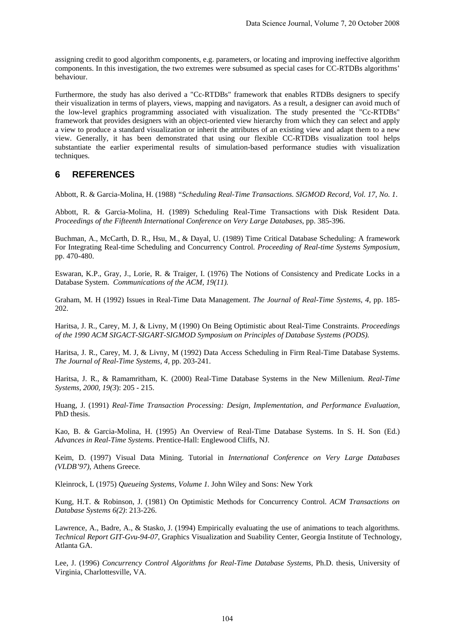assigning credit to good algorithm components, e.g. parameters, or locating and improving ineffective algorithm components. In this investigation, the two extremes were subsumed as special cases for CC-RTDBs algorithms' behaviour.

Furthermore, the study has also derived a "Cc-RTDBs" framework that enables RTDBs designers to specify their visualization in terms of players, views, mapping and navigators. As a result, a designer can avoid much of the low-level graphics programming associated with visualization. The study presented the "Cc-RTDBs" framework that provides designers with an object-oriented view hierarchy from which they can select and apply a view to produce a standard visualization or inherit the attributes of an existing view and adapt them to a new view. Generally, it has been demonstrated that using our flexible CC-RTDBs visualization tool helps substantiate the earlier experimental results of simulation-based performance studies with visualization techniques.

### **6 REFERENCES**

Abbott, R. & Garcia-Molina, H. (1988) *"Scheduling Real-Time Transactions. SIGMOD Record, Vol. 17, No. 1*.

Abbott, R. & Garcia-Molina, H. (1989) Scheduling Real-Time Transactions with Disk Resident Data. *Proceedings of the Fifteenth International Conference on Very Large Databases*, pp. 385-396.

Buchman, A., McCarth, D. R., Hsu, M., & Dayal, U. (1989) Time Critical Database Scheduling: A framework For Integrating Real-time Scheduling and Concurrency Control. *Proceeding of Real-time Systems Symposium*, pp. 470-480.

Eswaran, K.P., Gray, J., Lorie, R. & Traiger, I. (1976) The Notions of Consistency and Predicate Locks in a Database System. *Communications of the ACM, 19(11).* 

Graham, M. H (1992) Issues in Real-Time Data Management. *The Journal of Real-Time Systems, 4*, pp. 185- 202.

Haritsa, J. R., Carey, M. J, & Livny, M (1990) On Being Optimistic about Real-Time Constraints. *Proceedings of the 1990 ACM SIGACT-SIGART-SIGMOD Symposium on Principles of Database Systems (PODS).*

Haritsa, J. R., Carey, M. J, & Livny, M (1992) Data Access Scheduling in Firm Real-Time Database Systems. *The Journal of Real-Time Systems, 4,* pp. 203-241.

Haritsa, J. R., & Ramamritham, K. (2000) Real-Time Database Systems in the New Millenium. *Real-Time Systems, 2000, 19(3*): 205 - 215.

Huang, J. (1991) *Real-Time Transaction Processing: Design, Implementation, and Performance Evaluation,* PhD thesis.

Kao, B. & Garcia-Molina, H. (1995) An Overview of Real-Time Database Systems. In S. H. Son (Ed.) *Advances in Real-Time Systems*. Prentice-Hall: Englewood Cliffs, NJ.

Keim, D. (1997) Visual Data Mining. Tutorial in *International Conference on Very Large Databases (VLDB'97),* Athens Greece*.*

Kleinrock, L (1975) *Queueing Systems, Volume 1.* John Wiley and Sons: New York

Kung, H.T. & Robinson, J. (1981) On Optimistic Methods for Concurrency Control. *ACM Transactions on Database Systems 6(2)*: 213-226.

Lawrence, A., Badre, A., & Stasko, J. (1994) Empirically evaluating the use of animations to teach algorithms. *Technical Report GIT-Gvu-94-07*, Graphics Visualization and Suability Center, Georgia Institute of Technology, Atlanta GA.

Lee, J. (1996) *Concurrency Control Algorithms for Real-Time Database Systems*, Ph.D. thesis, University of Virginia, Charlottesville, VA.